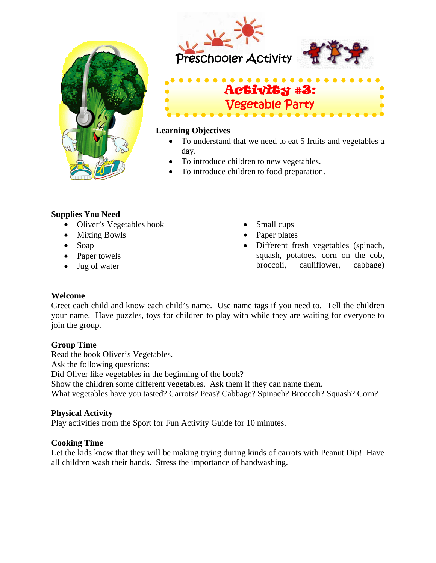







#### **Learning Objectives**

- To understand that we need to eat 5 fruits and vegetables a day.
- To introduce children to new vegetables.
- To introduce children to food preparation.

### **Supplies You Need**

- Oliver's Vegetables book
- Mixing Bowls
- Soap
- Paper towels
- Jug of water
- Small cups
- Paper plates
- Different fresh vegetables (spinach, squash, potatoes, corn on the cob, broccoli, cauliflower, cabbage)

### **Welcome**

Greet each child and know each child's name. Use name tags if you need to. Tell the children your name. Have puzzles, toys for children to play with while they are waiting for everyone to join the group.

# **Group Time**

Read the book Oliver's Vegetables. Ask the following questions: Did Oliver like vegetables in the beginning of the book? Show the children some different vegetables. Ask them if they can name them. What vegetables have you tasted? Carrots? Peas? Cabbage? Spinach? Broccoli? Squash? Corn?

# **Physical Activity**

Play activities from the Sport for Fun Activity Guide for 10 minutes.

### **Cooking Time**

Let the kids know that they will be making trying during kinds of carrots with Peanut Dip! Have all children wash their hands. Stress the importance of handwashing.